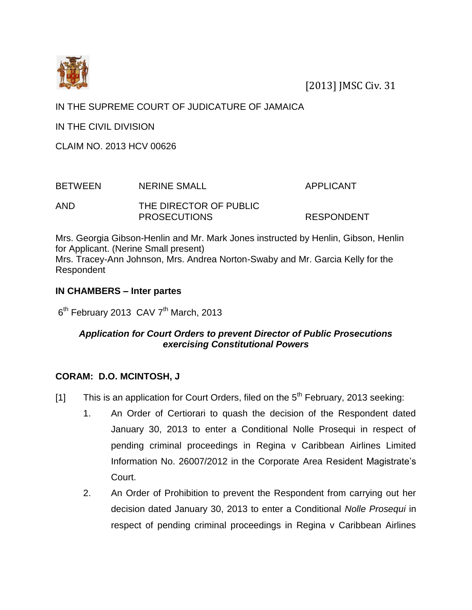

[2013] JMSC Civ. 31

## IN THE SUPREME COURT OF JUDICATURE OF JAMAICA

IN THE CIVIL DIVISION

CLAIM NO. 2013 HCV 00626

| <b>BETWEEN</b> | <b>NERINE SMALL</b>    | APPLICANT         |
|----------------|------------------------|-------------------|
| AND            | THE DIRECTOR OF PUBLIC |                   |
|                | <b>PROSECUTIONS</b>    | <b>RESPONDENT</b> |

Mrs. Georgia Gibson-Henlin and Mr. Mark Jones instructed by Henlin, Gibson, Henlin for Applicant. (Nerine Small present) Mrs. Tracey-Ann Johnson, Mrs. Andrea Norton-Swaby and Mr. Garcia Kelly for the Respondent

## **IN CHAMBERS – Inter partes**

6<sup>th</sup> February 2013 CAV 7<sup>th</sup> March, 2013

## *Application for Court Orders to prevent Director of Public Prosecutions exercising Constitutional Powers*

## **CORAM: D.O. MCINTOSH, J**

- [1] This is an application for Court Orders, filed on the  $5<sup>th</sup>$  February, 2013 seeking:
	- 1. An Order of Certiorari to quash the decision of the Respondent dated January 30, 2013 to enter a Conditional Nolle Prosequi in respect of pending criminal proceedings in Regina v Caribbean Airlines Limited Information No. 26007/2012 in the Corporate Area Resident Magistrate's Court.
	- 2. An Order of Prohibition to prevent the Respondent from carrying out her decision dated January 30, 2013 to enter a Conditional *Nolle Prosequi* in respect of pending criminal proceedings in Regina v Caribbean Airlines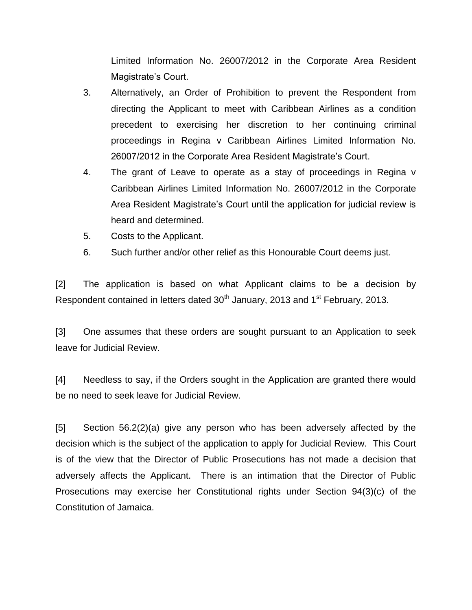Limited Information No. 26007/2012 in the Corporate Area Resident Magistrate's Court.

- 3. Alternatively, an Order of Prohibition to prevent the Respondent from directing the Applicant to meet with Caribbean Airlines as a condition precedent to exercising her discretion to her continuing criminal proceedings in Regina v Caribbean Airlines Limited Information No. 26007/2012 in the Corporate Area Resident Magistrate's Court.
- 4. The grant of Leave to operate as a stay of proceedings in Regina v Caribbean Airlines Limited Information No. 26007/2012 in the Corporate Area Resident Magistrate's Court until the application for judicial review is heard and determined.
- 5. Costs to the Applicant.
- 6. Such further and/or other relief as this Honourable Court deems just.

[2] The application is based on what Applicant claims to be a decision by Respondent contained in letters dated 30<sup>th</sup> January, 2013 and 1<sup>st</sup> February, 2013.

[3] One assumes that these orders are sought pursuant to an Application to seek leave for Judicial Review.

[4] Needless to say, if the Orders sought in the Application are granted there would be no need to seek leave for Judicial Review.

[5] Section 56.2(2)(a) give any person who has been adversely affected by the decision which is the subject of the application to apply for Judicial Review. This Court is of the view that the Director of Public Prosecutions has not made a decision that adversely affects the Applicant. There is an intimation that the Director of Public Prosecutions may exercise her Constitutional rights under Section 94(3)(c) of the Constitution of Jamaica.